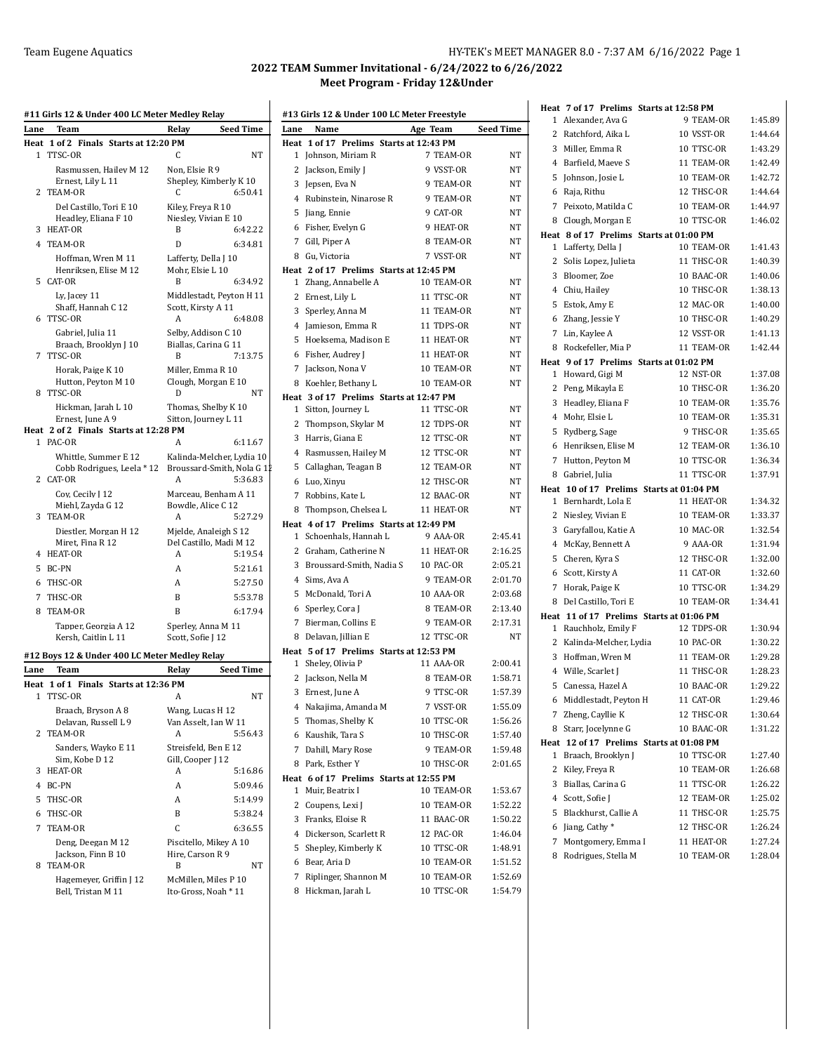## Team Eugene Aquatics **HY-TEK's MEET MANAGER 8.0 - 7:37 AM 6/16/2022** Page 1

|                | #11 Girls 12 & Under 400 LC Meter Medley Relay            |                                                  |                  |
|----------------|-----------------------------------------------------------|--------------------------------------------------|------------------|
| Lane           | Team                                                      | Relay                                            | Seed Time        |
|                | Heat 1 of 2 Finals Starts at 12:20 PM                     |                                                  |                  |
| 1              | TTSC-OR                                                   | C                                                | NT               |
|                | Rasmussen, Hailey M 12<br>Ernest, Lily L 11               | Non, Elsie R 9<br>Shepley, Kimberly K 10         |                  |
| 2              | TEAM-OR                                                   | C                                                | 6:50.41          |
|                | Del Castillo, Tori E 10                                   | Kiley, Freya R 10                                |                  |
|                | Headley, Eliana F 10                                      | Niesley, Vivian E 10                             |                  |
| 3              | HEAT-OR                                                   | B                                                | 6:42.22          |
|                | 4 TEAM-OR                                                 | D                                                | 6:34.81          |
|                | Hoffman, Wren M 11                                        | Lafferty, Della J 10                             |                  |
|                | Henriksen, Elise M 12                                     | Mohr, Elsie L 10                                 |                  |
|                | 5 CAT-OR                                                  | B                                                | 6:34.92          |
|                | Lv. Jacev 11                                              | Middlestadt, Peyton H 11                         |                  |
| 6              | Shaff, Hannah C 12<br>TTSC-OR                             | Scott, Kirsty A 11<br>А                          | 6:48.08          |
|                | Gabriel, Julia 11                                         | Selby, Addison C 10                              |                  |
|                | Braach, Brooklyn J 10                                     | Biallas, Carina G 11                             |                  |
| 7              | TTSC-OR                                                   | B                                                | 7:13.75          |
|                | Horak. Paige K 10                                         | Miller, Emma R 10                                |                  |
|                | Hutton, Peyton M 10                                       | Clough, Morgan E 10                              |                  |
|                | 8 TTSC-OR                                                 | D                                                | NΤ               |
|                | Hickman, Jarah L 10                                       | Thomas, Shelby K 10                              |                  |
|                | Ernest, June A 9<br>Heat 2 of 2 Finals Starts at 12:28 PM | Sitton, Journey L 11                             |                  |
|                | 1 PAC-OR                                                  | А                                                | 6:11.67          |
|                | Whittle, Summer E 12                                      | Kalinda-Melcher, Lydia 10                        |                  |
|                | Cobb Rodrigues, Leela * 12                                | Broussard-Smith, Nola G 1                        |                  |
| 2              | CAT-OR                                                    | А                                                | 5:36.83          |
|                | Coy, Cecily J 12                                          | Marceau, Benham A 11                             |                  |
|                | Miehl, Zayda G 12                                         | Bowdle, Alice C 12                               |                  |
| 3              | TEAM-OR                                                   | А                                                | 5:27.29          |
|                | Diestler, Morgan H 12                                     | Mjelde, Analeigh S 12<br>Del Castillo, Madi M 12 |                  |
| 4              | Miret, Fina R 12<br>HEAT-OR                               | А                                                | 5:19.54          |
| 5              | BC-PN                                                     | A                                                | 5:21.61          |
| 6              | THSC-OR                                                   | A                                                | 5:27.50          |
| 7              | THSC-OR                                                   | B                                                | 5:53.78          |
| 8              | TEAM-OR                                                   | B                                                | 6:17.94          |
|                | Tapper, Georgia A 12                                      |                                                  |                  |
|                | Kersh, Caitlin L 11                                       | Sperley, Anna M 11<br>Scott, Sofie J 12          |                  |
|                |                                                           |                                                  |                  |
|                | #12 Boys 12 & Under 400 LC Meter Medley Relay             |                                                  | <b>Seed Time</b> |
| Lane           | Team<br>Heat 1 of 1 Finals Starts at 12:36 PM             | Relay                                            |                  |
|                | 1 TTSC-OR                                                 | A                                                | NΤ               |
|                | Braach, Bryson A 8                                        | Wang, Lucas H 12                                 |                  |
|                | Delavan, Russell L 9                                      | Van Asselt, Ian W 11                             |                  |
| 2              | TEAM-OR                                                   | A                                                | 5:56.43          |
|                | Sanders, Wayko E 11                                       | Streisfeld, Ben E 12                             |                  |
|                | Sim, Kobe D 12                                            | Gill, Cooper J 12                                |                  |
| 3              | <b>HEAT-OR</b>                                            | A                                                | 5:16.86          |
| $\overline{4}$ | BC-PN                                                     | A                                                | 5:09.46          |
| 5              | THSC-OR                                                   | A                                                | 5:14.99          |
| 6              | THSC-OR                                                   | B                                                | 5:38.24          |
| 7              | TEAM-OR                                                   | C                                                | 6:36.55          |
|                | Deng, Deegan M 12                                         | Piscitello, Mikey A 10                           |                  |
|                | Jackson, Finn B 10                                        | Hire, Carson R 9                                 |                  |
| 8              | TEAM-OR                                                   | B                                                | NΤ               |
|                | Hagemever, Griffin J 12                                   | McMillen, Miles P 10                             |                  |
|                | Bell, Tristan M 11                                        | Ito-Gross, Noah * 11                             |                  |

| Lane<br>Name                                       | Age Team                 | <b>Seed Time</b>   |
|----------------------------------------------------|--------------------------|--------------------|
| Heat 1 of 17 Prelims Starts at 12:43 PM            |                          |                    |
| Johnson, Miriam R<br>1                             | 7 TEAM-OR                | ΝT                 |
| 2<br>Jackson, Emily J                              | 9 VSST-OR                | NT                 |
| 3 Jepsen, Eva N                                    | 9 TEAM-OR                | NT                 |
| 4 Rubinstein, Ninarose R                           | 9 TEAM-OR                | NT                 |
| 5<br>Jiang, Ennie                                  | 9 CAT-OR                 | NT                 |
| 6 Fisher, Evelyn G                                 | 9 HEAT-OR                | NT                 |
| 7 Gill, Piper A                                    | 8 TEAM-OR                | NT                 |
| 8 Gu, Victoria                                     | 7 VSST-OR                | NT                 |
| Heat 2 of 17 Prelims Starts at 12:45 PM            |                          |                    |
| 1 Zhang, Annabelle A                               | 10 TEAM-OR               | NT                 |
| 2 Ernest, Lily L                                   | 11 TTSC-OR               | NT                 |
| 3 Sperley, Anna M                                  | 11 TEAM-OR               | NT                 |
| 4 Jamieson, Emma R                                 | 11 TDPS-OR               | NT                 |
| 5<br>Hoeksema, Madison E                           | 11 HEAT-OR               | NT                 |
| 6 Fisher, Audrey J                                 | 11 HEAT-OR               | NT                 |
| 7 Jackson, Nona V                                  | 10 TEAM-OR               | NT                 |
| 8 Koehler, Bethany L                               | 10 TEAM-OR               | NT                 |
| Heat 3 of 17 Prelims Starts at 12:47 PM            |                          |                    |
| 1 Sitton, Journey L                                | 11 TTSC-OR               | NΤ                 |
| 2 Thompson, Skylar M                               | 12 TDPS-OR               | NT                 |
| 3 Harris, Giana E                                  | 12 TTSC-OR               | NT                 |
| 4 Rasmussen, Hailey M                              | 12 TTSC-OR               | NT                 |
| 5 Callaghan, Teagan B                              | 12 TEAM-OR               | NT                 |
| 6 Luo, Xinyu                                       | 12 THSC-OR               | NT                 |
| 7 Robbins, Kate L                                  | 12 BAAC-OR               | NT                 |
| 8<br>Thompson, Chelsea L                           | 11 HEAT-OR               | NT                 |
| Heat 4 of 17 Prelims Starts at 12:49 PM            |                          |                    |
| 1 Schoenhals, Hannah L                             | 9 AAA-OR                 | 2:45.41            |
| 2 Graham, Catherine N                              | 11 HEAT-OR               | 2:16.25            |
| 3 Broussard-Smith, Nadia S                         | 10 PAC-OR                | 2:05.21            |
| 4 Sims, Ava A                                      | 9 TEAM-OR                | 2:01.70            |
| 5 McDonald, Tori A                                 | 10 AAA-OR                | 2:03.68            |
| 6 Sperley, Cora J                                  | 8 TEAM-OR                | 2:13.40            |
| 7 Bierman, Collins E                               | 9 TEAM-OR                | 2:17.31            |
| 8 Delavan, Jillian E                               | 12 TTSC-OR               | NT                 |
| Heat 5 of 17 Prelims Starts at 12:53 PM            |                          |                    |
| 1 Sheley, Olivia P                                 | 11 AAA-OR                | 2:00.41            |
| 2<br>Jackson, Nella M                              | 8 TEAM-OR                | 1:58.71            |
| Ernest, June A<br>3                                | 9 TTSC-OR                | 1:57.39            |
| 4 Nakajima, Amanda M                               | 7 VSST-OR                | 1:55.09            |
| Thomas, Shelby K<br>5                              | 10 TTSC-OR               | 1:56.26            |
| 6 Kaushik, Tara S                                  | 10 THSC-OR               | 1:57.40            |
| 7 Dahill, Mary Rose                                | 9 TEAM-OR                | 1:59.48            |
| Park, Esther Y<br>8                                | 10 THSC-OR               | 2:01.65            |
| Heat 6 of 17 Prelims Starts at 12:55 PM            |                          |                    |
| Muir, Beatrix I<br>1                               | 10 TEAM-OR               | 1:53.67            |
| 2 Coupens, Lexi J                                  | 10 TEAM-OR               | 1:52.22            |
| 3 Franks, Eloise R                                 | 11 BAAC-OR               | 1:50.22            |
|                                                    | 12 PAC-OR                | 1:46.04            |
| 4 Dickerson, Scarlett R                            |                          |                    |
| 5 Shepley, Kimberly K                              | 10 TTSC-OR               | 1:48.91            |
| 6 Bear, Aria D                                     | 10 TEAM-OR               | 1:51.52            |
|                                                    |                          |                    |
| 7<br>Riplinger, Shannon M<br>Hickman, Jarah L<br>8 | 10 TEAM-OR<br>10 TTSC-OR | 1:52.69<br>1:54.79 |

|   |                                       | Heat 7 of 17 Prelims Starts at 12:58 PM                     |         |
|---|---------------------------------------|-------------------------------------------------------------|---------|
|   | 1 Alexander, Ava G                    | 9 TEAM-OR                                                   | 1:45.89 |
|   | 2 Ratchford, Aika L                   | 10 VSST-OR                                                  | 1:44.64 |
|   | 3 Miller, Emma R                      | 10 TTSC-OR                                                  | 1:43.29 |
|   | 4 Barfield, Maeve S                   | 11 TEAM-OR                                                  | 1:42.49 |
|   | 5 Johnson, Josie L                    | 10 TEAM-OR                                                  | 1:42.72 |
|   | 6 Raja, Rithu                         | 12 THSC-OR                                                  | 1:44.64 |
|   | 7 Peixoto, Matilda C                  | 10 TEAM-OR                                                  | 1:44.97 |
| 8 | Clough, Morgan E                      | 10 TTSC-OR                                                  | 1:46.02 |
|   |                                       | Heat 8 of 17 Prelims Starts at 01:00 PM                     |         |
|   | 1 Lafferty, Della J                   | 10 TEAM-OR                                                  | 1:41.43 |
|   | 2 Solis Lopez, Julieta                | 11 THSC-OR                                                  | 1:40.39 |
|   | 3 Bloomer, Zoe                        | 10 BAAC-OR                                                  | 1:40.06 |
|   | 4 Chiu, Hailey                        | 10 THSC-OR                                                  | 1:38.13 |
|   | 5 Estok, Amy E                        | 12 MAC-OR                                                   | 1:40.00 |
|   | 6 Zhang, Jessie Y                     | 10 THSC-OR                                                  | 1:40.29 |
|   | 7 Lin, Kaylee A                       | 12 VSST-OR                                                  | 1:41.13 |
| 8 | Rockefeller, Mia P                    | 11 TEAM-OR                                                  | 1:42.44 |
|   |                                       | Heat 9 of 17 Prelims Starts at 01:02 PM<br><b>12 NST-OR</b> | 1:37.08 |
|   | 1 Howard, Gigi M<br>2 Peng, Mikayla E | 10 THSC-OR                                                  | 1:36.20 |
|   | 3 Headley, Eliana F                   | 10 TEAM-OR                                                  | 1:35.76 |
|   | 4 Mohr, Elsie L                       | 10 TEAM-OR                                                  | 1:35.31 |
|   | 5 Rydberg, Sage                       | 9 THSC-OR                                                   | 1:35.65 |
|   | 6 Henriksen, Elise M                  | 12 TEAM-OR                                                  | 1:36.10 |
|   | 7 Hutton, Peyton M                    | 10 TTSC-OR                                                  | 1:36.34 |
|   | 8 Gabriel, Julia                      | 11 TTSC-OR                                                  | 1:37.91 |
|   |                                       | Heat 10 of 17 Prelims Starts at 01:04 PM                    |         |
|   | 1 Bernhardt, Lola E                   | 11 HEAT-OR                                                  | 1:34.32 |
|   | 2 Niesley, Vivian E                   | 10 TEAM-OR                                                  | 1:33.37 |
|   | 3 Garyfallou, Katie A                 | 10 MAC-OR                                                   | 1:32.54 |
|   | 4 McKay, Bennett A                    | 9 AAA-OR                                                    | 1:31.94 |
|   | 5 Cheren, Kyra S                      | 12 THSC-OR                                                  | 1:32.00 |
|   | 6 Scott, Kirsty A                     | 11 CAT-OR                                                   | 1:32.60 |
| 7 | Horak, Paige K                        | 10 TTSC-OR                                                  | 1:34.29 |
| 8 | Del Castillo, Tori E                  | 10 TEAM-OR                                                  | 1:34.41 |
|   |                                       | Heat 11 of 17 Prelims Starts at 01:06 PM                    |         |
|   | 1 Rauchholz, Emily F                  | 12 TDPS-OR                                                  | 1:30.94 |
|   | 2 Kalinda-Melcher, Lydia              | 10 PAC-OR                                                   | 1:30.22 |
|   | 3 Hoffman, Wren M                     | 11 TEAM-OR                                                  | 1:29.28 |
|   | 4 Wille, Scarlet J                    | 11 THSC-OR                                                  | 1:28.23 |
|   | 5 Canessa, Hazel A                    | 10 BAAC-OR                                                  | 1:29.22 |
|   | 6 Middlestadt, Peyton H               | 11 CAT-OR                                                   | 1:29.46 |
|   | 7 Zheng, Cayllie K                    | 12 THSC-OR                                                  | 1:30.64 |
| 8 | Starr, Jocelynne G                    | 10 BAAC-OR                                                  | 1:31.22 |
| 1 | Braach, Brooklyn J                    | Heat 12 of 17 Prelims Starts at 01:08 PM<br>10 TTSC-OR      | 1:27.40 |
| 2 | Kiley, Freya R                        | 10 TEAM-OR                                                  | 1:26.68 |
|   | 3 Biallas, Carina G                   | 11 TTSC-OR                                                  | 1:26.22 |
|   | 4 Scott, Sofie J                      | 12 TEAM-OR                                                  | 1:25.02 |
|   | 5 Blackhurst, Callie A                | 11 THSC-OR                                                  | 1:25.75 |
|   | 6 Jiang, Cathy *                      | 12 THSC-OR                                                  | 1:26.24 |
|   | 7 Montgomery, Emma I                  | 11 HEAT-OR                                                  | 1:27.24 |
|   | 8 Rodrigues, Stella M                 | 10 TEAM-OR                                                  | 1:28.04 |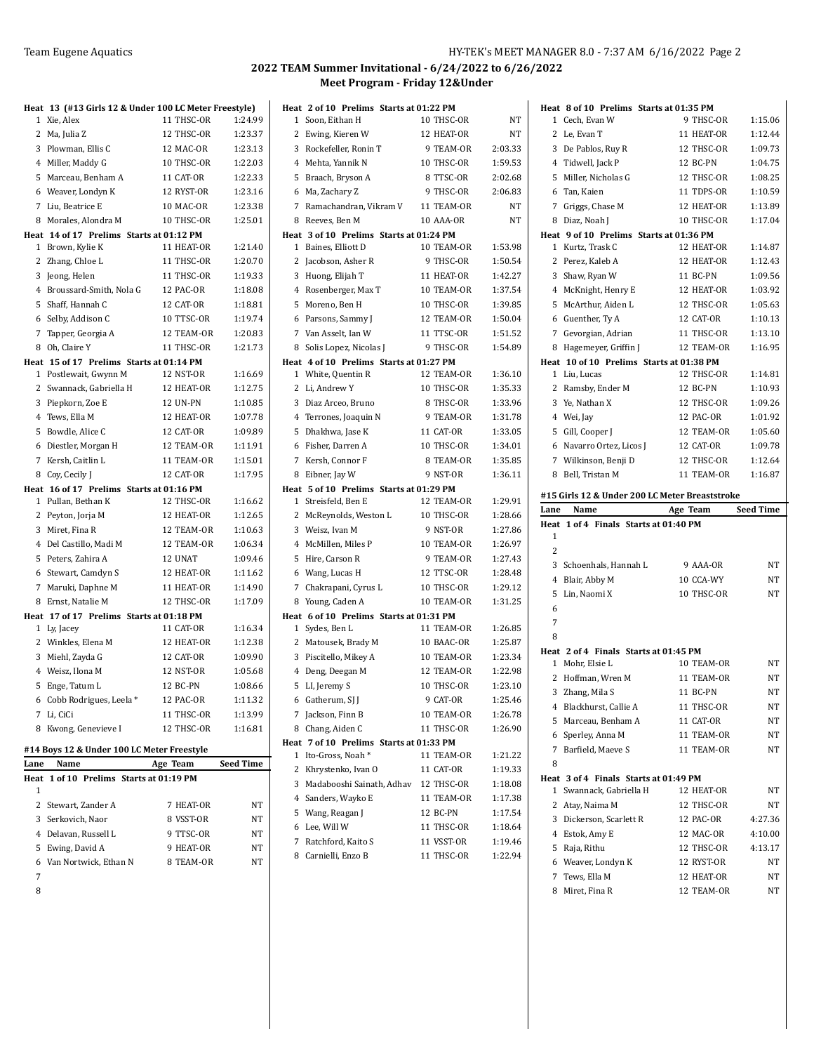|      | Heat 13 (#13 Girls 12 & Under 100 LC Meter Freestyle) |                          |                    |
|------|-------------------------------------------------------|--------------------------|--------------------|
|      | 1 Xie, Alex                                           | 11 THSC-OR               | 1:24.99            |
|      | 2 Ma, Julia Z                                         | 12 THSC-OR               | 1:23.37            |
|      | 3 Plowman, Ellis C                                    | 12 MAC-OR                | 1:23.13            |
|      | 4 Miller, Maddy G                                     | 10 THSC-OR               | 1:22.03            |
| 5    | Marceau, Benham A                                     | 11 CAT-OR                | 1:22.33            |
|      | 6 Weaver, Londyn K                                    | 12 RYST-OR               | 1:23.16            |
|      | 7 Liu, Beatrice E                                     | 10 MAC-OR                | 1:23.38            |
| 8    | Morales, Alondra M                                    | 10 THSC-OR               | 1:25.01            |
|      | Heat 14 of 17 Prelims Starts at 01:12 PM              |                          |                    |
|      | 1 Brown, Kylie K                                      | 11 HEAT-OR               | 1:21.40            |
|      | 2 Zhang, Chloe L                                      | 11 THSC-OR               | 1:20.70            |
|      | 3 Jeong, Helen                                        | 11 THSC-OR               | 1:19.33            |
|      | 4 Broussard-Smith, Nola G                             | 12 PAC-OR                | 1:18.08            |
|      | 5 Shaff, Hannah C                                     | 12 CAT-OR                | 1:18.81            |
|      | 6 Selby, Addison C                                    | 10 TTSC-OR               | 1:19.74            |
|      | 7 Tapper, Georgia A                                   | 12 TEAM-OR               | 1:20.83            |
|      | 8 Oh, Claire Y                                        | 11 THSC-OR               | 1:21.73            |
|      | Heat 15 of 17 Prelims Starts at 01:14 PM              |                          |                    |
|      | 1 Postlewait, Gwynn M                                 | 12 NST-OR                | 1:16.69            |
|      | 2 Swannack, Gabriella H                               | 12 HEAT-OR               | 1:12.75            |
|      | 3 Piepkorn, Zoe E                                     | 12 UN-PN                 | 1:10.85            |
|      | 4 Tews, Ella M                                        | 12 HEAT-OR               | 1:07.78            |
| 5    | Bowdle, Alice C                                       | 12 CAT-OR                | 1:09.89            |
| 6    | Diestler, Morgan H                                    | 12 TEAM-OR               | 1:11.91            |
|      | 7 Kersh, Caitlin L                                    | 11 TEAM-OR               | 1:15.01            |
|      | 8 Coy, Cecily J                                       | 12 CAT-OR                | 1:17.95            |
|      | Heat 16 of 17 Prelims Starts at 01:16 PM              |                          |                    |
| 1    | Pullan, Bethan K                                      | 12 THSC-OR               | 1:16.62            |
|      | 2 Peyton, Jorja M                                     | 12 HEAT-OR               | 1:12.65            |
| 3    | Miret, Fina R                                         | 12 TEAM-OR               | 1:10.63            |
|      | 4 Del Castillo, Madi M                                | 12 TEAM-OR               | 1:06.34            |
| 5    | Peters, Zahira A                                      | 12 UNAT                  | 1:09.46            |
| 7    | 6 Stewart, Camdyn S                                   | 12 HEAT-OR<br>11 HEAT-OR | 1:11.62<br>1:14.90 |
|      | Maruki, Daphne M<br>Ernst, Natalie M                  |                          |                    |
| 8    | Heat 17 of 17 Prelims Starts at 01:18 PM              | 12 THSC-OR               | 1:17.09            |
|      | 1 Ly, Jacey                                           | 11 CAT-OR                | 1:16.34            |
|      | 2 Winkles, Elena M                                    | 12 HEAT-OR               | 1:12.38            |
| 3    | Miehl, Zayda G                                        | 12 CAT-OR                | 1:09.90            |
|      | 4 Weisz, Ilona M                                      | 12 NST-OR                | 1:05.68            |
| 5    | Enge, Tatum L                                         | 12 BC-PN                 | 1:08.66            |
|      | 6 Cobb Rodrigues, Leela $^\ast$                       | 12 PAC-OR                | 1:11.32            |
|      | 7 Li, CiCi                                            | 11 THSC-OR               | 1:13.99            |
| 8    | Kwong, Genevieve I                                    | 12 THSC-OR               | 1:16.81            |
|      |                                                       |                          |                    |
|      | #14 Boys 12 & Under 100 LC Meter Freestyle            |                          |                    |
| Lane | Name                                                  | Age Team                 | Seed Time          |
| Heat | 1 of 10 Prelims Starts at 01:19 PM                    |                          |                    |
| 1    |                                                       |                          |                    |
|      | 2 Stewart, Zander A                                   | 7 HEAT-OR                | NΤ                 |
|      | 3 Serkovich, Naor<br>4 Delavan, Russell L             | 8 VSST-OR                | NT<br>NT           |
| 5    |                                                       | 9 TTSC-OR<br>9 HEAT-OR   | NT                 |
|      | Ewing, David A                                        |                          |                    |

6 Van Nortwick, Ethan N 8 TEAM-OR NT

 

| Heat 2 of 10 Prelims Starts at 01:22 PM                           |            |         |
|-------------------------------------------------------------------|------------|---------|
| Soon, Eithan H<br>1                                               | 10 THSC-OR | NT      |
| Ewing, Kieren W<br>2                                              | 12 HEAT-OR | NT      |
| 3<br>Rockefeller, Ronin T                                         | 9 TEAM-OR  | 2:03.33 |
| 4<br>Mehta, Yannik N                                              | 10 THSC-OR | 1:59.53 |
| 5<br>Braach, Bryson A                                             | 8 TTSC-OR  | 2:02.68 |
| Ma, Zachary Z<br>6                                                | 9 THSC-OR  | 2:06.83 |
| 7<br>Ramachandran, Vikram V                                       | 11 TEAM-OR | NT      |
| 8<br>Reeves, Ben M                                                | 10 AAA-OR  | NT      |
| Heat 3 of 10 Prelims Starts at 01:24 PM                           |            |         |
| Baines, Elliott D<br>1                                            | 10 TEAM-OR | 1:53.98 |
| Jacobson, Asher R<br>2                                            | 9 THSC-OR  | 1:50.54 |
| 3<br>Huong, Elijah T                                              | 11 HEAT-OR | 1:42.27 |
| Rosenberger, Max T<br>4                                           | 10 TEAM-OR | 1:37.54 |
| 5<br>Moreno, Ben H                                                | 10 THSC-OR | 1:39.85 |
| Parsons, Sammy J<br>6                                             | 12 TEAM-OR | 1:50.04 |
| 7<br>Van Asselt, Ian W                                            | 11 TTSC-OR | 1:51.52 |
| Solis Lopez, Nicolas J<br>8                                       | 9 THSC-OR  | 1:54.89 |
| Heat 4 of 10 Prelims Starts at 01:27 PM                           |            |         |
| 1<br>White, Quentin R                                             | 12 TEAM-OR | 1:36.10 |
| 2<br>Li, Andrew Y                                                 | 10 THSC-OR | 1:35.33 |
| 3<br>Diaz Arceo, Bruno                                            | 8 THSC-OR  | 1:33.96 |
| 4<br>Terrones, Joaquin N                                          | 9 TEAM-OR  | 1:31.78 |
| 5<br>Dhakhwa, Jase K                                              | 11 CAT-OR  | 1:33.05 |
| 6<br>Fisher, Darren A                                             | 10 THSC-OR | 1:34.01 |
| 7<br>Kersh, Connor F                                              | 8 TEAM-OR  | 1:35.85 |
| 8<br>Eibner, Jay W                                                | 9 NST-OR   | 1:36.11 |
| Heat 5 of 10 Prelims Starts at 01:29 PM<br>Streisfeld, Ben E<br>1 | 12 TEAM-OR | 1:29.91 |
| McReynolds, Weston L<br>2                                         | 10 THSC-OR | 1:28.66 |
| 3<br>Weisz, Ivan M                                                | 9 NST-OR   | 1:27.86 |
| 4<br>McMillen, Miles P                                            | 10 TEAM-OR | 1:26.97 |
| 5<br>Hire, Carson R                                               | 9 TEAM-OR  | 1:27.43 |
| Wang, Lucas H<br>6                                                | 12 TTSC-OR | 1:28.48 |
| 7<br>Chakrapani, Cyrus L                                          | 10 THSC-OR | 1:29.12 |
| 8<br>Young, Caden A                                               | 10 TEAM-OR | 1:31.25 |
| Heat 6 of 10 Prelims Starts at 01:31 PM                           |            |         |
| 1<br>Sydes, Ben L                                                 | 11 TEAM-OR | 1:26.85 |
| Matousek, Brady M<br>2                                            | 10 BAAC-OR | 1:25.87 |
| 3<br>Piscitello, Mikey A                                          | 10 TEAM-OR | 1:23.34 |
| 4<br>Deng, Deegan M                                               | 12 TEAM-OR | 1:22.98 |
| 5<br>LI, Jeremy S                                                 | 10 THSC-OR | 1:23.10 |
| Gatherum, SJ J<br>6                                               | 9 CAT-OR   | 1:25.46 |
| Jackson, Finn B<br>7                                              | 10 TEAM-OR | 1:26.78 |
| Chang, Aiden C<br>8                                               | 11 THSC-OR | 1:26.90 |
| Heat 7 of 10 Prelims Starts at 01:33 PM                           |            |         |
| Ito-Gross, Noah*<br>1                                             | 11 TEAM-OR | 1:21.22 |
| 2<br>Khrystenko, Ivan O                                           | 11 CAT-OR  | 1:19.33 |
| 3<br>Madabooshi Sainath, Adhav                                    | 12 THSC-OR | 1:18.08 |
| 4<br>Sanders, Wayko E                                             | 11 TEAM-OR | 1:17.38 |
| Wang, Reagan J<br>5                                               | 12 BC-PN   | 1:17.54 |
| Lee, Will W<br>6                                                  | 11 THSC-OR | 1:18.64 |
| Ratchford, Kaito S<br>7                                           | 11 VSST-OR | 1:19.46 |
| Carnielli, Enzo B<br>8                                            | 11 THSC-OR | 1:22.94 |
|                                                                   |            |         |

| Heat 8 of 10 Prelims Starts at 01:35 PM                             |                          |                  |
|---------------------------------------------------------------------|--------------------------|------------------|
| Cech, Evan W<br>1                                                   | 9 THSC-OR                | 1:15.06          |
| 2 Le, Evan T                                                        | 11 HEAT-OR               | 1:12.44          |
| 3 De Pablos, Ruy R                                                  | 12 THSC-OR               | 1:09.73          |
| 4 Tidwell, Jack P                                                   | 12 BC-PN                 | 1:04.75          |
| Miller, Nicholas G<br>5                                             | 12 THSC-OR               | 1:08.25          |
| 6 Tan, Kaien                                                        | 11 TDPS-OR               | 1:10.59          |
| 7 Griggs, Chase M                                                   | 12 HEAT-OR               | 1:13.89          |
| Diaz, Noah J<br>8                                                   | 10 THSC-OR               | 1:17.04          |
| Heat 9 of 10 Prelims Starts at 01:36 PM                             |                          |                  |
| 1 Kurtz, Trask C                                                    | 12 HEAT-OR               | 1:14.87          |
| 2 Perez, Kaleb A                                                    | 12 HEAT-OR               | 1:12.43          |
| 3 Shaw, Ryan W                                                      | 11 BC-PN                 | 1:09.56          |
| 4 McKnight, Henry E                                                 | 12 HEAT-OR               | 1:03.92          |
| McArthur, Aiden L<br>5                                              | 12 THSC-OR               | 1:05.63          |
| 6 Guenther, Ty A                                                    | 12 CAT-OR                | 1:10.13          |
| 7 Gevorgian, Adrian                                                 | 11 THSC-OR               | 1:13.10          |
| Hagemeyer, Griffin J<br>8                                           | 12 TEAM-OR               | 1:16.95          |
| Heat 10 of 10 Prelims Starts at 01:38 PM                            |                          |                  |
| 1 Liu, Lucas                                                        | 12 THSC-OR               | 1:14.81          |
| 2 Ramsby, Ender M                                                   | 12 BC-PN                 | 1:10.93          |
| 3 Ye, Nathan X                                                      | 12 THSC-OR               | 1:09.26          |
| 4 Wei, Jay                                                          | 12 PAC-OR                | 1:01.92          |
| 5 Gill, Cooper J                                                    | 12 TEAM-OR               | 1:05.60          |
| 6 Navarro Ortez, Licos J                                            | 12 CAT-OR                | 1:09.78          |
| 7 Wilkinson, Benji D                                                | 12 THSC-OR               | 1:12.64          |
| Bell, Tristan M<br>8                                                | 11 TEAM-OR               | 1:16.87          |
|                                                                     |                          |                  |
|                                                                     |                          |                  |
| #15 Girls 12 & Under 200 LC Meter Breaststroke                      |                          |                  |
| Lane<br>Name                                                        | Age Team                 | <b>Seed Time</b> |
| Heat 1 of 4 Finals Starts at 01:40 PM<br>1                          |                          |                  |
| 2                                                                   |                          |                  |
|                                                                     |                          |                  |
| 3 Schoenhals, Hannah L                                              | 9 AAA-OR                 | NΤ               |
| 4 Blair, Abby M                                                     | 10 CCA-WY                | NΤ               |
| Lin, Naomi X<br>5                                                   | 10 THSC-OR               | NΤ               |
| 6                                                                   |                          |                  |
| 7                                                                   |                          |                  |
| 8                                                                   |                          |                  |
| Heat 2 of 4 Finals Starts at 01:45 PM                               |                          | NT               |
| 1 Mohr, Elsie L                                                     | 10 TEAM-OR               |                  |
| 2<br>Hoffman, Wren M                                                | 11 TEAM-OR               | NΤ<br><b>NT</b>  |
| 3<br>Zhang, Mila S                                                  | 11 BC-PN                 |                  |
| Blackhurst, Callie A<br>4                                           | 11 THSC-OR               | NT.              |
| 5<br>Marceau, Benham A                                              | 11 CAT-OR                | NT               |
| 6 Sperley, Anna M                                                   | 11 TEAM-OR               | NT               |
| Barfield, Maeve S<br>7                                              | 11 TEAM-OR               | NT               |
| 8                                                                   |                          |                  |
| Heat 3 of 4 Finals Starts at 01:49 PM<br>Swannack, Gabriella H<br>1 | 12 HEAT-OR               | NΤ               |
|                                                                     | 12 THSC-OR               |                  |
| 2 Atay, Naima M                                                     |                          | NΤ               |
| 3<br>Dickerson, Scarlett R                                          | 12 PAC-OR<br>12 MAC-OR   | 4:27.36          |
| 4 Estok, Amy E                                                      | 12 THSC-OR               | 4:10.00          |
| 5<br>Raja, Rithu                                                    |                          | 4:13.17          |
| 6 Weaver, Londyn K                                                  | 12 RYST-OR               | NΤ               |
| 7 Tews, Ella M<br>Miret, Fina R<br>8                                | 12 HEAT-OR<br>12 TEAM-OR | NΤ<br>NΤ         |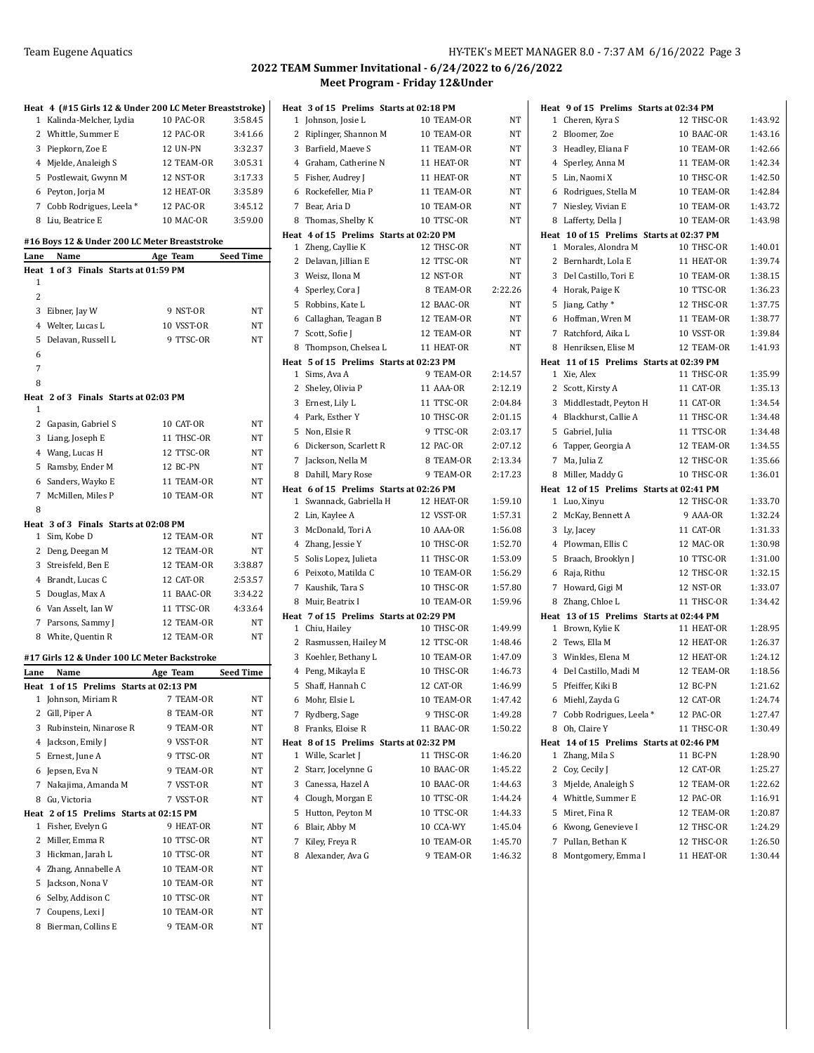|  |  | IY-TEK's MEET MANAGER 8.0 - 7:37 AM 6/16/2022 Page 3 |  |  |
|--|--|------------------------------------------------------|--|--|
|--|--|------------------------------------------------------|--|--|

|                | Heat 4 (#15 Girls 12 & Under 200 LC Meter Breaststroke) |            |           |
|----------------|---------------------------------------------------------|------------|-----------|
| 1              | Kalinda-Melcher, Lydia                                  | 10 PAC-OR  | 3:58.45   |
| 2              | Whittle, Summer E                                       | 12 PAC-OR  | 3:41.66   |
|                | 3 Piepkorn, Zoe E                                       | 12 UN-PN   | 3:32.37   |
|                | 4 Mjelde, Analeigh S                                    | 12 TEAM-OR | 3:05.31   |
|                | 5 Postlewait, Gwynn M                                   | 12 NST-OR  | 3:17.33   |
|                | 6 Peyton, Jorja M                                       | 12 HEAT-OR | 3:35.89   |
|                | 7 Cobb Rodrigues, Leela *                               | 12 PAC-OR  | 3:45.12   |
|                | 8 Liu, Beatrice E                                       | 10 MAC-OR  | 3:59.00   |
|                |                                                         |            |           |
|                | #16 Boys 12 & Under 200 LC Meter Breaststroke           |            |           |
| Lane           | Name                                                    | Age Team   | Seed Time |
| 1              | Heat 1 of 3 Finals Starts at 01:59 PM                   |            |           |
| $\overline{2}$ |                                                         |            |           |
|                | 3 Eibner, Jay W                                         | 9 NST-OR   | NT        |
|                | 4 Welter, Lucas L                                       | 10 VSST-OR | NT        |
| 5              | Delavan, Russell L                                      | 9 TTSC-OR  | NT        |
| 6              |                                                         |            |           |
| 7              |                                                         |            |           |
| 8              |                                                         |            |           |
|                | Heat 2 of 3 Finals Starts at 02:03 PM                   |            |           |
| 1              |                                                         |            |           |
| $\overline{2}$ | Gapasin, Gabriel S                                      | 10 CAT-OR  | NT        |
|                | 3 Liang, Joseph E                                       | 11 THSC-OR | NT        |
|                | 4 Wang, Lucas H                                         | 12 TTSC-OR | NT        |
|                | 5 Ramsby, Ender M                                       | 12 BC-PN   | NT        |
|                | 6 Sanders, Wayko E                                      | 11 TEAM-OR | NΤ        |
|                | 7 McMillen, Miles P                                     | 10 TEAM-OR | NT        |
| 8              |                                                         |            |           |
|                | Heat 3 of 3 Finals Starts at 02:08 PM                   |            |           |
| 1              | Sim, Kobe D                                             | 12 TEAM-OR | NΤ        |
|                | 2 Deng, Deegan M                                        | 12 TEAM-OR | NT        |
|                | 3 Streisfeld, Ben E                                     | 12 TEAM-OR | 3:38.87   |
|                | 4 Brandt, Lucas C                                       | 12 CAT-OR  | 2:53.57   |
|                | 5 Douglas, Max A                                        | 11 BAAC-OR | 3:34.22   |
|                | 6 Van Asselt, Ian W                                     | 11 TTSC-OR | 4:33.64   |
|                | 7 Parsons, Sammy J                                      | 12 TEAM-OR | NT        |
|                | 8 White, Quentin R                                      | 12 TEAM-OR | NT        |
|                | #17 Girls 12 & Under 100 LC Meter Backstroke            |            |           |
| Lane           | Name                                                    | Age Team   | Seed Time |
| Heat           | 1 of 15 Prelims Starts at 02:13 PM                      |            |           |
| 1              | Johnson, Miriam R                                       | 7 TEAM-OR  | NΤ        |
| 2              | Gill, Piper A                                           | 8 TEAM-OR  | NΤ        |
| 3              | Rubinstein, Ninarose R                                  | 9 TEAM-OR  | NΤ        |
|                | 4 Jackson, Emily J                                      | 9 VSST-OR  | NΤ        |
| 5              | Ernest, June A                                          | 9 TTSC-OR  | NT        |
|                | 6 Jepsen, Eva N                                         | 9 TEAM-OR  | NT        |
| 7              | Nakajima, Amanda M                                      | 7 VSST-OR  | NΤ        |
| 8              | Gu, Victoria                                            | 7 VSST-OR  | NΤ        |
|                | Heat 2 of 15 Prelims Starts at 02:15 PM                 |            |           |
|                | 1 Fisher, Evelyn G                                      | 9 HEAT-OR  | NΤ        |
| $\mathbf{2}$   | Miller, Emma R                                          | 10 TTSC-OR | NΤ        |
| 3              | Hickman, Jarah L                                        | 10 TTSC-OR | NΤ        |
|                | 4 Zhang, Annabelle A                                    | 10 TEAM-OR | NΤ        |
| 5              | Jackson, Nona V                                         | 10 TEAM-OR | NΤ        |
| 6              |                                                         |            |           |
|                | Selby, Addison C                                        | 10 TTSC-OR | NΤ        |
| 7              | Coupens, Lexi J                                         | 10 TEAM-OR | NΤ        |

|              | Heat 3 of 15 Prelims Starts at 02:18 PM |                  |         |
|--------------|-----------------------------------------|------------------|---------|
| 1            | Johnson, Josie L                        | 10 TEAM-OR       | NT      |
| 2            | Riplinger, Shannon M                    | 10 TEAM-OR       | NT      |
|              | 3 Barfield, Maeve S                     | 11 TEAM-OR       | NT      |
|              | 4 Graham, Catherine N                   | 11 HEAT-OR       | NT      |
|              | 5 Fisher, Audrey J                      | 11 HEAT-OR       | NT      |
|              | 6 Rockefeller, Mia P                    | 11 TEAM-OR       | NT      |
|              | 7 Bear, Aria D                          | 10 TEAM-OR       | NT      |
| 8            | Thomas, Shelby K                        | 10 TTSC-OR       | NT      |
|              | Heat 4 of 15 Prelims Starts at 02:20 PM |                  |         |
|              | 1 Zheng, Cayllie K                      | 12 THSC-OR       | NT      |
|              | 2 Delavan, Jillian E                    | 12 TTSC-OR       | NT      |
|              | 3 Weisz, Ilona M                        | <b>12 NST-OR</b> | NT      |
|              | 4 Sperley, Cora J                       | 8 TEAM-OR        | 2:22.26 |
|              | 5 Robbins, Kate L                       | 12 BAAC-OR       | NT      |
|              | 6 Callaghan, Teagan B                   | 12 TEAM-OR       | NT      |
| 7            | Scott, Sofie J                          | 12 TEAM-OR       | NT      |
|              | 8 Thompson, Chelsea L                   | 11 HEAT-OR       | NT      |
|              | Heat 5 of 15 Prelims Starts at 02:23 PM |                  |         |
| $\mathbf{1}$ | Sims, Ava A                             | 9 TEAM-OR        | 2:14.57 |
|              | 2 Sheley, Olivia P                      | 11 AAA-OR        | 2:12.19 |
|              | 3 Ernest, Lily L                        | 11 TTSC-OR       | 2:04.84 |
|              | 4 Park, Esther Y                        | 10 THSC-OR       | 2:01.15 |
|              | 5 Non, Elsie R                          | 9 TTSC-OR        | 2:03.17 |
|              | 6 Dickerson, Scarlett R                 | 12 PAC-OR        | 2:07.12 |
|              | 7 Jackson, Nella M                      | 8 TEAM-OR        | 2:13.34 |
| 8            | Dahill, Mary Rose                       | 9 TEAM-OR        | 2:17.23 |
|              | Heat 6 of 15 Prelims Starts at 02:26 PM |                  |         |
| $\mathbf{1}$ | Swannack, Gabriella H                   | 12 HEAT-OR       | 1:59.10 |
| 2            | Lin, Kaylee A                           | 12 VSST-OR       | 1:57.31 |
|              | 3 McDonald, Tori A                      | <b>10 AAA-OR</b> | 1:56.08 |
|              | 4 Zhang, Jessie Y                       | 10 THSC-OR       | 1:52.70 |
| 5            | Solis Lopez, Julieta                    | 11 THSC-OR       | 1:53.09 |
| 6            | Peixoto, Matilda C                      | 10 TEAM-OR       | 1:56.29 |
|              | 7 Kaushik, Tara S                       | 10 THSC-OR       | 1:57.80 |
|              | 8 Muir, Beatrix I                       | 10 TEAM-OR       | 1:59.96 |
|              | Heat 7 of 15 Prelims Starts at 02:29 PM |                  |         |
|              | 1 Chiu, Hailey                          | 10 THSC-OR       | 1:49.99 |
|              | 2 Rasmussen, Hailey M                   | 12 TTSC-OR       | 1:48.46 |
|              | 3 Koehler, Bethany L                    | 10 TEAM-OR       | 1:47.09 |
|              | 4 Peng, Mikayla E                       | 10 THSC-OR       | 1:46.73 |
| 5            | Shaff, Hannah C                         | 12 CAT-OR        | 1:46.99 |
| 6            | Mohr, Elsie L                           | 10 TEAM-OR       | 1:47.42 |
| 7            | Rydberg, Sage                           | 9 THSC-OR        | 1:49.28 |
| 8            | Franks, Eloise R                        | 11 BAAC-OR       | 1:50.22 |
| Heat         | 8 of 15 Prelims Starts at 02:32 PM      |                  |         |
| 1            | Wille, Scarlet J                        | 11 THSC-OR       | 1:46.20 |
| 2            | Starr, Jocelynne G                      | 10 BAAC-OR       | 1:45.22 |
|              | 3 Canessa, Hazel A                      | 10 BAAC-OR       | 1:44.63 |
|              | 4 Clough, Morgan E                      | 10 TTSC-OR       | 1:44.24 |
| 5            | Hutton, Peyton M                        | 10 TTSC-OR       | 1:44.33 |
| 6            | Blair, Abby M                           | 10 CCA-WY        | 1:45.04 |
| 7            | Kiley, Freya R                          | 10 TEAM-OR       | 1:45.70 |
| 8            | Alexander, Ava G                        | 9 TEAM-OR        | 1:46.32 |

|   | Heat 9 of 15 Prelims Starts at 02:34 PM                   |                          |                    |
|---|-----------------------------------------------------------|--------------------------|--------------------|
| 1 | Cheren, Kyra S                                            | 12 THSC-OR               | 1:43.92            |
| 2 | Bloomer, Zoe                                              | 10 BAAC-OR               | 1:43.16            |
| 3 | Headley, Eliana F                                         | 10 TEAM-OR               | 1:42.66            |
| 4 | Sperley, Anna M                                           | 11 TEAM-OR               | 1:42.34            |
| 5 | Lin, Naomi X                                              | 10 THSC-OR               | 1:42.50            |
| 6 | Rodrigues, Stella M                                       | 10 TEAM-OR               | 1:42.84            |
| 7 | Niesley, Vivian E                                         | 10 TEAM-OR               | 1:43.72            |
| 8 | Lafferty, Della J                                         | 10 TEAM-OR               | 1:43.98            |
|   | Heat 10 of 15 Prelims Starts at 02:37 PM                  |                          |                    |
| 1 | Morales, Alondra M                                        | 10 THSC-OR               | 1:40.01            |
| 2 | Bernhardt, Lola E                                         | 11 HEAT-OR               | 1:39.74            |
| 3 | Del Castillo, Tori E                                      | 10 TEAM-OR               | 1:38.15            |
| 4 | Horak, Paige K                                            | 10 TTSC-OR               | 1:36.23            |
| 5 | Jiang, Cathy *                                            | 12 THSC-OR               | 1:37.75            |
| 6 | Hoffman, Wren M                                           | 11 TEAM-OR               | 1:38.77            |
| 7 | Ratchford, Aika L                                         | 10 VSST-OR               | 1:39.84            |
| 8 | Henriksen, Elise M                                        | 12 TEAM-OR               | 1:41.93            |
|   | Heat 11 of 15 Prelims Starts at 02:39 PM                  |                          |                    |
| 1 | Xie, Alex                                                 | 11 THSC-OR               | 1:35.99            |
| 2 | Scott, Kirsty A                                           | 11 CAT-OR                | 1:35.13            |
| 3 | Middlestadt, Peyton H                                     | 11 CAT-OR                | 1:34.54            |
|   | 4 Blackhurst, Callie A                                    | 11 THSC-OR               | 1:34.48            |
| 5 | Gabriel, Julia                                            | 11 TTSC-OR               | 1:34.48            |
| 6 | Tapper, Georgia A                                         | 12 TEAM-OR               | 1:34.55            |
| 7 | Ma, Julia Z                                               | 12 THSC-OR               | 1:35.66            |
| 8 | Miller, Maddy G                                           | 10 THSC-OR               | 1:36.01            |
|   | Heat 12 of 15 Prelims Starts at 02:41 PM                  |                          |                    |
| 1 | Luo, Xinyu                                                | 12 THSC-OR               | 1:33.70            |
| 2 | McKay, Bennett A                                          | 9 AAA-OR                 | 1:32.24            |
| 3 | Ly, Jacey                                                 | 11 CAT-OR                | 1:31.33            |
|   | 4 Plowman, Ellis C                                        | 12 MAC-OR                | 1:30.98            |
| 5 | Braach, Brooklyn J                                        | 10 TTSC-OR               | 1:31.00            |
| 6 | Raja, Rithu                                               | 12 THSC-OR               | 1:32.15            |
| 7 | Howard, Gigi M                                            | 12 NST-OR                | 1:33.07            |
| 8 | Zhang, Chloe L                                            | 11 THSC-OR               | 1:34.42            |
|   | Heat 13 of 15 Prelims Starts at 02:44 PM                  |                          |                    |
|   | 1 Brown, Kylie K                                          | 11 HEAT-OR<br>12 HEAT-OR | 1:28.95            |
| 2 | Tews, Ella M                                              |                          | 1:26.37<br>1:24.12 |
| 3 | Winkles, Elena M                                          | 12 HEAT-OR               |                    |
| 5 | 4 Del Castillo, Madi M<br>Pfeiffer, Kiki B                | 12 TEAM-OR<br>12 BC-PN   | 1:18.56<br>1:21.62 |
|   |                                                           | 12 CAT-OR                | 1:24.74            |
|   | 6 Miehl, Zayda G                                          |                          |                    |
|   | 7 Cobb Rodrigues, Leela *                                 | 12 PAC-OR                | 1:27.47<br>1:30.49 |
| 8 | Oh, Claire Y                                              | 11 THSC-OR               |                    |
| 1 | Heat 14 of 15 Prelims Starts at 02:46 PM<br>Zhang, Mila S | 11 BC-PN                 | 1:28.90            |
| 2 | Coy, Cecily J                                             | 12 CAT-OR                | 1:25.27            |
|   | 3 Mjelde, Analeigh S                                      | 12 TEAM-OR               | 1:22.62            |
|   | 4 Whittle, Summer E                                       | 12 PAC-OR                | 1:16.91            |
| 5 | Miret, Fina R                                             | 12 TEAM-OR               | 1:20.87            |
| 6 | Kwong, Genevieve I                                        | 12 THSC-OR               | 1:24.29            |
| 7 | Pullan, Bethan K                                          | 12 THSC-OR               | 1:26.50            |
| 8 | Montgomery, Emma I                                        | 11 HEAT-OR               | 1:30.44            |
|   |                                                           |                          |                    |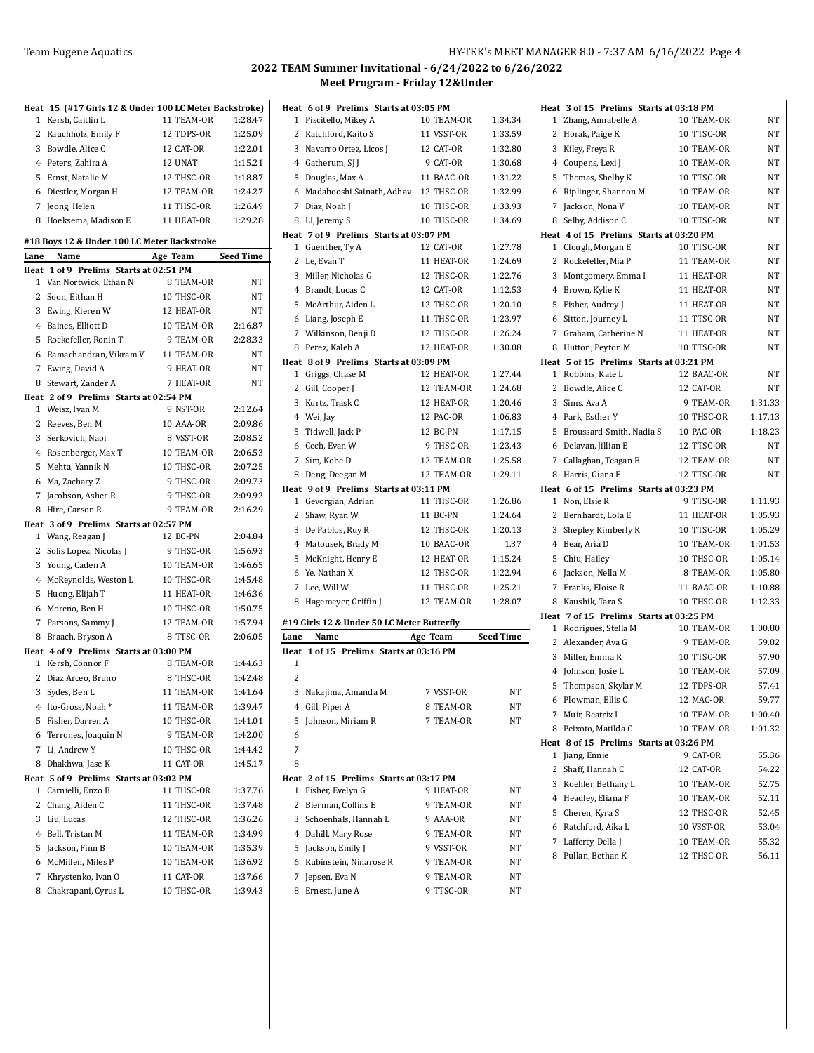|   | Heat 15 (#17 Girls 12 & Under 100 LC Meter Backstroke) |            |           |
|---|--------------------------------------------------------|------------|-----------|
|   | 1 Kersh, Caitlin L                                     | 11 TEAM-OR | 1:28.47   |
|   | 2 Rauchholz, Emily F                                   | 12 TDPS-OR | 1:25.09   |
| 3 | Bowdle, Alice C                                        | 12 CAT-OR  | 1:22.01   |
|   | 4 Peters, Zahira A                                     | 12 UNAT    | 1:15.21   |
|   | 5 Ernst, Natalie M                                     | 12 THSC-OR | 1:18.87   |
|   | 6 Diestler, Morgan H                                   | 12 TEAM-OR | 1:24.27   |
|   | 7 Jeong, Helen                                         | 11 THSC-OR | 1:26.49   |
|   | 8 Hoeksema, Madison E                                  | 11 HEAT-OR | 1:29.28   |
|   |                                                        |            |           |
|   | #18 Boys 12 & Under 100 LC Meter Backstroke            |            |           |
|   | Lane Name                                              | Age Team   | Seed Time |
|   | Heat 1 of 9 Prelims Starts at 02:51 PM                 | 8 TEAM-OR  |           |
|   | 1 Van Nortwick, Ethan N                                |            | NΤ        |
|   | 2 Soon, Eithan H                                       | 10 THSC-OR | NΤ        |
|   | 3 Ewing, Kieren W                                      | 12 HEAT-OR | NΤ        |
|   | 4 Baines, Elliott D                                    | 10 TEAM-OR | 2:16.87   |
|   | 5 Rockefeller, Ronin T                                 | 9 TEAM-OR  | 2:28.33   |
|   | 6 Ramachandran, Vikram V 11 TEAM-OR                    |            | NT        |
|   | 7 Ewing, David A                                       | 9 HEAT-OR  | NT        |
|   | 8 Stewart, Zander A                                    | 7 HEAT-OR  | NT        |
|   | Heat 2 of 9 Prelims Starts at 02:54 PM                 |            |           |
|   | 1 Weisz, Ivan M                                        | 9 NST-OR   | 2:12.64   |
|   | 2 Reeves, Ben M                                        | 10 AAA-OR  | 2:09.86   |
|   | 3 Serkovich, Naor                                      | 8 VSST-OR  | 2:08.52   |
|   | 4 Rosenberger, Max T                                   | 10 TEAM-OR | 2:06.53   |
| 5 | Mehta, Yannik N                                        | 10 THSC-OR | 2:07.25   |
|   | 6 Ma, Zachary Z                                        | 9 THSC-OR  | 2:09.73   |
|   | 7 Jacobson, Asher R                                    | 9 THSC-OR  | 2:09.92   |
|   | 8 Hire, Carson R                                       | 9 TEAM-OR  | 2:16.29   |
|   | Heat 3 of 9 Prelims Starts at 02:57 PM                 |            |           |
|   | 1 Wang, Reagan J                                       | 12 BC-PN   | 2:04.84   |
|   | 2 Solis Lopez, Nicolas J                               | 9 THSC-OR  | 1:56.93   |
|   | 3 Young, Caden A                                       | 10 TEAM-OR | 1:46.65   |
|   | 4 McReynolds, Weston L                                 | 10 THSC-OR | 1:45.48   |
| 5 | Huong, Elijah T                                        | 11 HEAT-OR | 1:46.36   |
|   | 6 Moreno, Ben H                                        | 10 THSC-OR | 1:50.75   |
|   | 7 Parsons, Sammy J                                     | 12 TEAM-OR | 1:57.94   |
|   | 8 Braach, Bryson A                                     | 8 TTSC-OR  | 2:06.05   |
|   | Heat 4 of 9 Prelims Starts at 03:00 PM                 |            |           |
|   | 1 Kersh, Connor F                                      | 8 TEAM-OR  | 1:44.63   |
|   | 2 Diaz Arceo, Bruno                                    | 8 THSC-OR  | 1:42.48   |
|   | 3 Sydes, Ben L                                         | 11 TEAM-OR | 1:41.64   |
| 4 | Ito-Gross, Noah*                                       | 11 TEAM-OR | 1:39.47   |
| 5 | Fisher, Darren A                                       | 10 THSC-OR | 1:41.01   |
| 6 | Terrones, Joaquin N                                    | 9 TEAM-OR  | 1:42.00   |
| 7 | Li, Andrew Y                                           | 10 THSC-OR | 1:44.42   |
| 8 | Dhakhwa, Jase K                                        | 11 CAT-OR  | 1:45.17   |
|   | Heat 5 of 9 Prelims Starts at 03:02 PM                 |            |           |
| 1 | Carnielli, Enzo B                                      | 11 THSC-OR | 1:37.76   |
| 2 | Chang, Aiden C                                         | 11 THSC-OR | 1:37.48   |
| 3 | Liu, Lucas                                             | 12 THSC-OR | 1:36.26   |
|   | 4 Bell, Tristan M                                      | 11 TEAM-OR | 1:34.99   |
| 5 | Jackson, Finn B                                        | 10 TEAM-OR | 1:35.39   |
| 6 | McMillen, Miles P                                      | 10 TEAM-OR | 1:36.92   |
| 7 | Khrystenko, Ivan O                                     | 11 CAT-OR  | 1:37.66   |
| 8 | Chakrapani, Cyrus L                                    | 10 THSC-OR | 1:39.43   |

|      | Heat 6 of 9 Prelims Starts at 03:05 PM             |            |                  |
|------|----------------------------------------------------|------------|------------------|
|      | 1 Piscitello, Mikey A                              | 10 TEAM-OR | 1:34.34          |
|      | 2 Ratchford, Kaito S                               | 11 VSST-OR | 1:33.59          |
|      | 3 Navarro Ortez, Licos J                           | 12 CAT-OR  | 1:32.80          |
|      | 4 Gatherum, SJ J                                   | 9 CAT-OR   | 1:30.68          |
|      | 5 Douglas, Max A                                   | 11 BAAC-OR | 1:31.22          |
|      | 6 Madabooshi Sainath, Adhav                        | 12 THSC-OR | 1:32.99          |
|      | 7 Diaz, Noah J                                     | 10 THSC-OR | 1:33.93          |
|      | 8 LI, Jeremy S                                     | 10 THSC-OR | 1:34.69          |
|      | Heat 7 of 9 Prelims Starts at 03:07 PM             |            |                  |
|      | 1 Guenther, Ty A                                   | 12 CAT-OR  | 1:27.78          |
|      | 2 Le, Evan T                                       | 11 HEAT-OR | 1:24.69          |
|      | 3 Miller, Nicholas G                               | 12 THSC-OR | 1:22.76          |
|      | 4 Brandt, Lucas C                                  | 12 CAT-OR  | 1:12.53          |
|      | 5 McArthur, Aiden L                                | 12 THSC-OR | 1:20.10          |
|      | 6 Liang, Joseph E                                  | 11 THSC-OR | 1:23.97          |
|      | 7 Wilkinson, Benji D                               | 12 THSC-OR | 1:26.24          |
|      | 8 Perez, Kaleb A                                   | 12 HEAT-OR | 1:30.08          |
|      | Heat 8 of 9 Prelims Starts at 03:09 PM             |            |                  |
|      | 1 Griggs, Chase M                                  | 12 HEAT-OR | 1:27.44          |
|      | 2 Gill, Cooper J                                   | 12 TEAM-OR | 1:24.68          |
|      | 3 Kurtz, Trask C                                   | 12 HEAT-OR | 1:20.46          |
|      | 4 Wei, Jay                                         | 12 PAC-OR  | 1:06.83          |
|      | 5 Tidwell, Jack P                                  | 12 BC-PN   | 1:17.15          |
|      | 6 Cech, Evan W                                     | 9 THSC-OR  | 1:23.43          |
|      | 7 Sim, Kobe D                                      | 12 TEAM-OR | 1:25.58          |
|      | 8 Deng, Deegan M                                   | 12 TEAM-OR | 1:29.11          |
|      | Heat 9 of 9 Prelims Starts at 03:11 PM             |            |                  |
|      | 1 Gevorgian, Adrian                                | 11 THSC-OR | 1:26.86          |
|      | 2 Shaw, Ryan W                                     | 11 BC-PN   | 1:24.64          |
|      | 3 De Pablos, Ruy R                                 | 12 THSC-OR | 1:20.13          |
|      | 4 Matousek, Brady M                                | 10 BAAC-OR | 1.37             |
|      | 5 McKnight, Henry E                                | 12 HEAT-OR | 1:15.24          |
|      | 6 Ye, Nathan X                                     | 12 THSC-OR | 1:22.94          |
|      | 7 Lee, Will W                                      | 11 THSC-OR | 1:25.21          |
| 8    | Hagemeyer, Griffin J                               | 12 TEAM-OR | 1:28.07          |
|      |                                                    |            |                  |
| Lane | #19 Girls 12 & Under 50 LC Meter Butterfly<br>Name | Age Team   | <b>Seed Time</b> |
|      | Heat 1 of 15 Prelims Starts at 03:16 PM            |            |                  |
| 1    |                                                    |            |                  |
| 2    |                                                    |            |                  |
| 3    | Nakajima, Amanda M                                 | 7 VSST-OR  | ΝT               |
| 4    | Gill, Piper A                                      | 8 TEAM-OR  | ΝT               |
| 5    | Johnson, Miriam R                                  | 7 TEAM-OR  | NT               |
| 6    |                                                    |            |                  |
| 7    |                                                    |            |                  |
| 8    |                                                    |            |                  |
| Heat | 2 of 15 Prelims Starts at 03:17 PM                 |            |                  |
| 1    | Fisher, Evelyn G                                   | 9 HEAT-OR  | NT               |
| 2    | Bierman, Collins E                                 | 9 TEAM-OR  | NT               |
|      | 3 Schoenhals, Hannah L                             | 9 AAA-OR   | NT               |
|      | 4 Dahill, Mary Rose                                | 9 TEAM-OR  | NT               |
| 5    | Jackson, Emily J                                   | 9 VSST-OR  | NT               |
| 6    | Rubinstein, Ninarose R                             | 9 TEAM-OR  | NT               |
| 7    | Jepsen, Eva N                                      | 9 TEAM-OR  | NT               |
| 8    | Ernest, June A                                     | 9 TTSC-OR  | NT               |
|      |                                                    |            |                  |

|        | Heat 3 of 15 Prelims Starts at 03:18 PM |                          |                |
|--------|-----------------------------------------|--------------------------|----------------|
| 1      | Zhang, Annabelle A                      | 10 TEAM-OR               | NΤ             |
| 2      | Horak, Paige K                          | 10 TTSC-OR               | NΤ             |
| 3      | Kiley, Freya R                          | 10 TEAM-OR               | NΤ             |
|        | 4 Coupens, Lexi J                       | 10 TEAM-OR               | NT             |
| 5      | Thomas, Shelby K                        | 10 TTSC-OR               | NΤ             |
| 6      | Riplinger, Shannon M                    | 10 TEAM-OR               | NT             |
| 7      | Jackson, Nona V                         | 10 TEAM-OR               | NT             |
| 8      | Selby, Addison C                        | 10 TTSC-OR               | NT             |
|        | Heat 4 of 15 Prelims Starts at 03:20 PM |                          |                |
|        | 1 Clough, Morgan E                      | 10 TTSC-OR               | NT             |
| 2      | Rockefeller, Mia P                      | 11 TEAM-OR               | NT             |
| 3      | Montgomery, Emma I                      | 11 HEAT-OR               | NT             |
| 4      | Brown, Kylie K                          | 11 HEAT-OR               | NT             |
| 5      | Fisher, Audrey J                        | 11 HEAT-OR               | NΤ             |
| 6      | Sitton, Journey L                       | 11 TTSC-OR               | NT             |
|        | 7 Graham, Catherine N                   | 11 HEAT-OR               | NT             |
| 8      | Hutton, Peyton M                        | 10 TTSC-OR               | NT             |
|        | Heat 5 of 15 Prelims Starts at 03:21 PM |                          |                |
|        | 1 Robbins, Kate L                       | 12 BAAC-OR               | NT             |
| 2      | Bowdle, Alice C                         | 12 CAT-OR                | NT             |
| 3      | Sims, Ava A                             | 9 TEAM-OR                | 1:31.33        |
| 4      | Park, Esther Y                          | 10 THSC-OR               | 1:17.13        |
| 5      | Broussard-Smith, Nadia S                | 10 PAC-OR                | 1:18.23        |
| 6      | Delavan, Jillian E                      | 12 TTSC-OR               | NT             |
|        | 7 Callaghan, Teagan B                   | 12 TEAM-OR               | NT             |
| 8      | Harris, Giana E                         | 12 TTSC-OR               | NT             |
|        |                                         |                          |                |
|        | Heat 6 of 15 Prelims Starts at 03:23 PM |                          |                |
| 1      | Non, Elsie R                            | 9 TTSC-OR                | 1:11.93        |
| 2      | Bernhardt, Lola E                       | 11 HEAT-OR               | 1:05.93        |
| 3      | Shepley, Kimberly K                     | 10 TTSC-OR               | 1:05.29        |
| 4      | Bear, Aria D                            | 10 TEAM-OR               | 1:01.53        |
| 5      | Chiu, Hailey                            | 10 THSC-OR               | 1:05.14        |
| 6      | Jackson, Nella M                        | 8 TEAM-OR                | 1:05.80        |
| 7      | Franks, Eloise R                        | 11 BAAC-OR               | 1:10.88        |
| 8      | Kaushik, Tara S                         | 10 THSC-OR               | 1:12.33        |
|        | Heat 7 of 15 Prelims Starts at 03:25 PM |                          |                |
| 1      | Rodrigues, Stella M                     | 10 TEAM-OR               | 1:00.80        |
|        | 2 Alexander, Ava G                      | 9 TEAM-OR                | 59.82          |
| 3      | Miller, Emma R                          | 10 TTSC-OR               | 57.90          |
| 4      | Johnson, Josie L                        | 10 TEAM-OR               | 57.09          |
| 5      | Thompson, Skylar M                      | 12 TDPS-OR               | 57.41          |
|        | 6 Plowman, Ellis C                      | 12 MAC-OR                | 59.77          |
| 7      | Muir, Beatrix I                         | 10 TEAM-OR               | 1:00.40        |
| 8      | Peixoto, Matilda C                      | 10 TEAM-OR               | 1:01.32        |
|        | Heat 8 of 15 Prelims Starts at 03:26 PM |                          |                |
| 1      | Jiang, Ennie                            | 9 CAT-OR                 | 55.36          |
| 2      | Shaff, Hannah C                         | 12 CAT-OR                | 54.22          |
| 3      | Koehler, Bethany L                      | 10 TEAM-OR               | 52.75          |
| 4      | Headley, Eliana F                       | 10 TEAM-OR               | 52.11          |
|        | 5 Cheren, Kyra S                        | 12 THSC-OR               | 52.45          |
| 6      | Ratchford, Aika L                       | 10 VSST-OR               | 53.04          |
| 7<br>8 | Lafferty, Della J<br>Pullan, Bethan K   | 10 TEAM-OR<br>12 THSC-OR | 55.32<br>56.11 |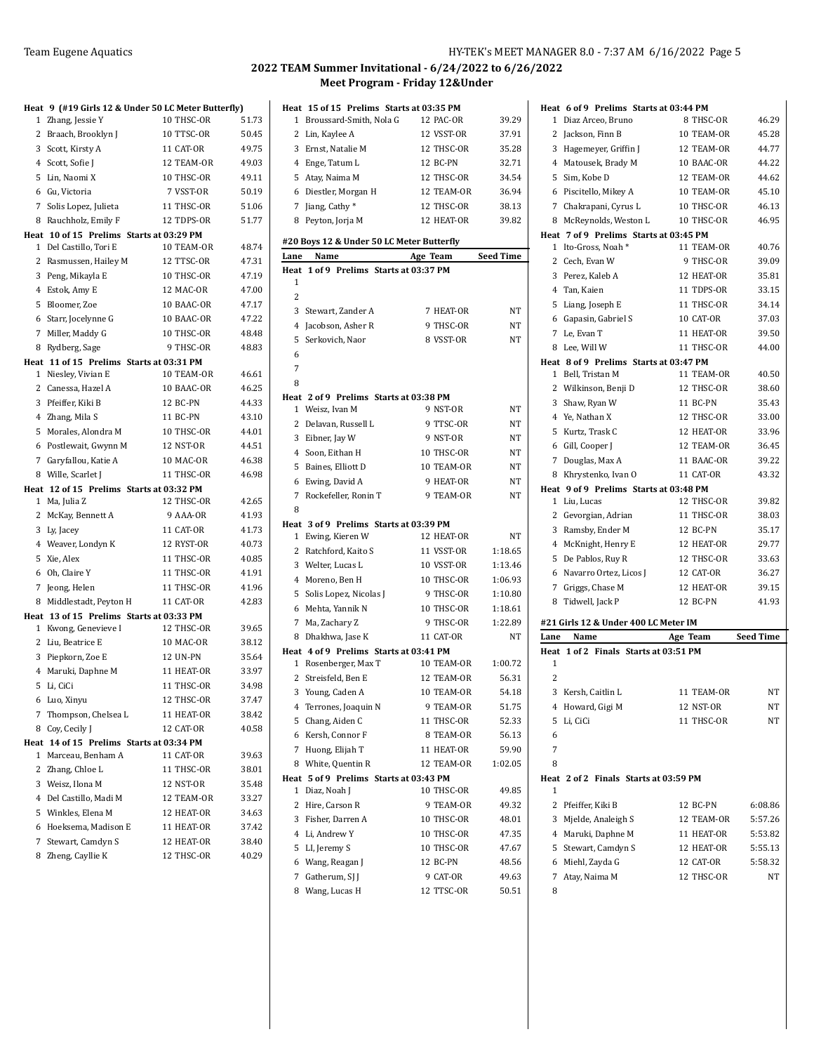## Team Eugene Aquatics **HY-TEK's MEET MANAGER 8.0 - 7:37 AM 6/16/2022** Page 5

|   |                                                               | Heat 9 (#19 Girls 12 & Under 50 LC Meter Butterfly) |                |
|---|---------------------------------------------------------------|-----------------------------------------------------|----------------|
|   | 1 Zhang, Jessie Y                                             | 10 THSC-OR                                          | 51.73          |
|   | 2 Braach, Brooklyn J                                          | 10 TTSC-OR                                          | 50.45          |
|   | 3 Scott, Kirsty A                                             | 11 CAT-OR                                           | 49.75          |
|   | 4 Scott, Sofie J                                              | 12 TEAM-OR                                          | 49.03          |
|   | 5 Lin, Naomi X                                                | 10 THSC-OR                                          | 49.11          |
|   | 6 Gu, Victoria                                                | 7 VSST-OR                                           | 50.19          |
|   | 7 Solis Lopez, Julieta                                        | 11 THSC-OR                                          | 51.06          |
| 8 | Rauchholz, Emily F                                            | 12 TDPS-OR                                          | 51.77          |
|   | Heat 10 of 15 Prelims Starts at 03:29 PM                      |                                                     |                |
|   | 1 Del Castillo, Tori E                                        | 10 TEAM-OR                                          | 48.74          |
|   | 2 Rasmussen, Hailey M                                         | 12 TTSC-OR                                          | 47.31          |
|   | 3 Peng, Mikayla E                                             | 10 THSC-OR                                          | 47.19          |
|   | 4 Estok, Amy E                                                | 12 MAC-OR                                           | 47.00          |
|   | 5 Bloomer, Zoe                                                | 10 BAAC-OR                                          | 47.17          |
|   | 6 Starr, Jocelynne G                                          | 10 BAAC-OR                                          | 47.22          |
|   | 7 Miller, Maddy G                                             | 10 THSC-OR                                          | 48.48          |
|   | 8 Rydberg, Sage                                               | 9 THSC-OR                                           | 48.83          |
|   | Heat 11 of 15 Prelims Starts at 03:31 PM                      |                                                     |                |
|   | 1 Niesley, Vivian E                                           | 10 TEAM-OR                                          | 46.61          |
|   | 2 Canessa, Hazel A                                            | 10 BAAC-OR                                          | 46.25          |
|   | 3 Pfeiffer, Kiki B                                            | 12 BC-PN                                            | 44.33          |
|   | 4 Zhang, Mila S                                               | 11 BC-PN                                            | 43.10          |
|   | 5 Morales, Alondra M                                          | 10 THSC-OR                                          | 44.01          |
|   | 6 Postlewait, Gwynn M                                         | 12 NST-OR                                           | 44.51          |
|   | 7 Garyfallou, Katie A                                         | 10 MAC-OR                                           | 46.38          |
|   | 8 Wille, Scarlet J                                            | 11 THSC-OR                                          | 46.98          |
|   | Heat 12 of 15 Prelims Starts at 03:32 PM                      |                                                     |                |
|   | 1 Ma, Julia Z                                                 | 12 THSC-OR                                          | 42.65          |
|   | 2 McKay, Bennett A                                            | 9 AAA-OR                                            | 41.93          |
|   | 3 Ly, Jacey                                                   | 11 CAT-OR                                           | 41.73          |
|   | 4 Weaver, Londyn K                                            | 12 RYST-OR                                          | 40.73          |
|   | 5 Xie, Alex                                                   | 11 THSC-OR                                          | 40.85          |
|   | 6 Oh, Claire Y                                                | 11 THSC-OR                                          | 41.91          |
|   | 7 Jeong, Helen                                                | 11 THSC-OR                                          | 41.96          |
|   | 8 Middlestadt, Peyton H                                       | 11 CAT-OR                                           | 42.83          |
|   | Heat 13 of 15 Prelims Starts at 03:33 PM                      |                                                     |                |
|   | 1 Kwong, Genevieve I                                          | 12 THSC-OR                                          | 39.65          |
|   | 2 Liu, Beatrice E                                             | 10 MAC-OR                                           | 38.12          |
|   | 3 Piepkorn, Zoe E                                             | <b>12 UN-PN</b>                                     | 35.64          |
|   | 4 Maruki, Daphne M                                            | 11 HEAT-OR                                          | 33.97          |
|   | 5 Li, CiCi                                                    | 11 THSC-OR                                          | 34.98          |
|   | 6 Luo, Xinyu                                                  | 12 THSC-OR                                          | 37.47          |
| 7 | Thompson, Chelsea L                                           | 11 HEAT-OR                                          | 38.42          |
| 8 | Coy, Cecily J                                                 | 12 CAT-OR                                           | 40.58          |
| 1 | Heat 14 of 15 Prelims Starts at 03:34 PM<br>Marceau, Benham A | 11 CAT-OR                                           |                |
|   | 2 Zhang, Chloe L                                              | 11 THSC-OR                                          | 39.63          |
|   | 3 Weisz, Ilona M                                              | 12 NST-OR                                           | 38.01<br>35.48 |
|   |                                                               | 12 TEAM-OR                                          | 33.27          |
|   | 4 Del Castillo, Madi M                                        | 12 HEAT-OR                                          | 34.63          |
|   | 5 Winkles, Elena M                                            |                                                     | 37.42          |
|   | 6 Hoeksema, Madison E                                         | 11 HEAT-OR                                          |                |
|   | 7 Stewart, Camdyn S                                           | 12 HEAT-OR<br>12 THSC-OR                            | 38.40<br>40.29 |
|   | 8 Zheng, Cayllie K                                            |                                                     |                |

|                | Heat 15 of 15 Prelims Starts at 03:35 PM  |            |           |
|----------------|-------------------------------------------|------------|-----------|
|                | 1 Broussard-Smith, Nola G                 | 12 PAC-OR  | 39.29     |
|                | 2 Lin, Kaylee A                           | 12 VSST-OR | 37.91     |
|                | 3 Ernst, Natalie M                        | 12 THSC-OR | 35.28     |
|                | 4 Enge, Tatum L                           | 12 BC-PN   | 32.71     |
|                | 5 Atay, Naima M                           | 12 THSC-OR | 34.54     |
|                | 6 Diestler, Morgan H                      | 12 TEAM-OR | 36.94     |
|                | 7 Jiang, Cathy*                           | 12 THSC-OR | 38.13     |
| 8              | Peyton, Jorja M                           | 12 HEAT-OR | 39.82     |
|                |                                           |            |           |
|                | #20 Boys 12 & Under 50 LC Meter Butterfly |            |           |
| Lane           | Name                                      | Age Team   | Seed Time |
| Heat<br>1      | 1 of 9 Prelims Starts at 03:37 PM         |            |           |
| $\overline{2}$ |                                           |            |           |
|                | 3 Stewart, Zander A                       | 7 HEAT-OR  | NT        |
|                | 4 Jacobson, Asher R                       | 9 THSC-OR  | NΤ        |
|                | 5 Serkovich, Naor                         | 8 VSST-OR  | NT        |
| 6              |                                           |            |           |
| 7              |                                           |            |           |
| 8              |                                           |            |           |
|                | Heat 2 of 9 Prelims Starts at 03:38 PM    |            |           |
|                | 1 Weisz, Ivan M                           | 9 NST-OR   | NT        |
|                | 2 Delavan, Russell L                      | 9 TTSC-OR  | NT        |
|                | 3 Eibner, Jay W                           | 9 NST-OR   | NΤ        |
|                | 4 Soon, Eithan H                          | 10 THSC-OR | NΤ        |
|                | 5 Baines, Elliott D                       | 10 TEAM-OR | NT        |
|                | 6 Ewing, David A                          | 9 HEAT-OR  | NT        |
| 7              | Rockefeller, Ronin T                      | 9 TEAM-OR  | NT        |
| 8              |                                           |            |           |
|                | Heat 3 of 9 Prelims Starts at 03:39 PM    |            |           |
|                | 1 Ewing, Kieren W                         | 12 HEAT-OR | NΤ        |
|                | 2 Ratchford, Kaito S                      | 11 VSST-OR | 1:18.65   |
|                | 3 Welter, Lucas L                         | 10 VSST-OR | 1:13.46   |
|                | 4 Moreno, Ben H                           | 10 THSC-OR | 1:06.93   |
|                | 5 Solis Lopez, Nicolas J                  | 9 THSC-OR  | 1:10.80   |
|                | 6 Mehta, Yannik N                         | 10 THSC-OR | 1:18.61   |
|                | 7 Ma, Zachary Z                           | 9 THSC-OR  | 1:22.89   |
|                | 8 Dhakhwa, Jase K                         | 11 CAT-OR  | NT        |
|                | Heat 4 of 9 Prelims Starts at 03:41 PM    |            |           |
|                | 1 Rosenberger, Max T                      | 10 TEAM-OR | 1:00.72   |
|                | 2 Streisfeld, Ben E                       | 12 TEAM-OR | 56.31     |
| 3              | Young, Caden A                            | 10 TEAM-OR | 54.18     |
| 4              | Terrones, Joaquin N                       | 9 TEAM-OR  | 51.75     |
| 5              | Chang, Aiden C                            | 11 THSC-OR | 52.33     |
|                | 6 Kersh, Connor F                         | 8 TEAM-OR  | 56.13     |
| 7              | Huong, Elijah T                           | 11 HEAT-OR | 59.90     |
|                | 8 White, Quentin R                        | 12 TEAM-OR | 1:02.05   |
|                | Heat 5 of 9 Prelims Starts at 03:43 PM    |            |           |
| 1              | Diaz, Noah J                              | 10 THSC-OR | 49.85     |
| 2              | Hire, Carson R                            | 9 TEAM-OR  | 49.32     |
|                | 3 Fisher, Darren A                        | 10 THSC-OR | 48.01     |
|                | 4 Li, Andrew Y                            | 10 THSC-OR | 47.35     |
|                | 5 LI, Jeremy S                            | 10 THSC-OR | 47.67     |
|                | 6 Wang, Reagan J                          | 12 BC-PN   | 48.56     |
|                | 7 Gatherum, SJ J                          | 9 CAT-OR   | 49.63     |
|                | 8 Wang, Lucas H                           | 12 TTSC-OR | 50.51     |
|                |                                           |            |           |

| Heat 6 of 9 Prelims Starts at 03:44 PM     |            |                  |
|--------------------------------------------|------------|------------------|
| 1 Diaz Arceo, Bruno                        | 8 THSC-OR  | 46.29            |
| 2 Jackson, Finn B                          | 10 TEAM-OR | 45.28            |
| 3 Hagemeyer, Griffin J                     | 12 TEAM-OR | 44.77            |
| 4 Matousek, Brady M                        | 10 BAAC-OR | 44.22            |
| 5 Sim, Kobe D                              | 12 TEAM-OR | 44.62            |
| 6 Piscitello, Mikey A                      | 10 TEAM-OR | 45.10            |
| 7 Chakrapani, Cyrus L                      | 10 THSC-OR | 46.13            |
| 8 McReynolds, Weston L                     | 10 THSC-OR | 46.95            |
| Heat 7 of 9 Prelims Starts at 03:45 PM     |            |                  |
| 1 Ito-Gross, Noah*                         | 11 TEAM-OR | 40.76            |
| 2 Cech, Evan W                             | 9 THSC-OR  | 39.09            |
| 3 Perez, Kaleb A                           | 12 HEAT-OR | 35.81            |
| 4 Tan, Kaien                               | 11 TDPS-OR | 33.15            |
| 5 Liang, Joseph E                          | 11 THSC-OR | 34.14            |
| 6 Gapasin, Gabriel S                       | 10 CAT-OR  | 37.03            |
| 7 Le, Evan T                               | 11 HEAT-OR | 39.50            |
| 8 Lee, Will W                              | 11 THSC-OR | 44.00            |
| Heat 8 of 9 Prelims Starts at 03:47 PM     |            |                  |
| 1 Bell, Tristan M                          | 11 TEAM-OR | 40.50            |
| 2 Wilkinson, Benji D                       | 12 THSC-OR | 38.60            |
| 3 Shaw, Ryan W                             | 11 BC-PN   | 35.43            |
| 4 Ye, Nathan X                             | 12 THSC-OR | 33.00            |
| 5 Kurtz, Trask C                           | 12 HEAT-OR | 33.96            |
| 6 Gill, Cooper J                           | 12 TEAM-OR | 36.45            |
| 7 Douglas, Max A                           | 11 BAAC-OR | 39.22            |
| 8 Khrystenko, Ivan O                       | 11 CAT-OR  | 43.32            |
| Heat 9 of 9 Prelims Starts at 03:48 PM     |            |                  |
| 1 Liu, Lucas                               | 12 THSC-OR | 39.82            |
| 2 Gevorgian, Adrian                        | 11 THSC-OR | 38.03            |
| 3 Ramsby, Ender M                          | 12 BC-PN   | 35.17            |
| 4 McKnight, Henry E                        | 12 HEAT-OR | 29.77            |
| 5 De Pablos, Ruy R                         | 12 THSC-OR | 33.63            |
| 6 Navarro Ortez, Licos J                   | 12 CAT-OR  | 36.27            |
| 7 Griggs, Chase M                          | 12 HEAT-OR | 39.15            |
| 8 Tidwell, Jack P                          | 12 BC-PN   | 41.93            |
| #21 Girls 12 & Under 400 LC Meter IM       |            |                  |
| Name<br>Lane                               | Age Team   | <b>Seed Time</b> |
| Heat 1 of 2 Finals Starts at 03:51 PM      |            |                  |
| 1                                          |            |                  |
| 2                                          |            |                  |
| 3<br>Kersh, Caitlin L                      | 11 TEAM-OR | NT               |
| 4 Howard, Gigi M                           | 12 NST-OR  | NΤ               |
| 5<br>Li, CiCi                              | 11 THSC-OR | NΤ               |
| 6                                          |            |                  |
| 7                                          |            |                  |
| 8                                          |            |                  |
| Heat 2 of 2 Finals Starts at 03:59 PM<br>1 |            |                  |
| 2 Pfeiffer, Kiki B                         | 12 BC-PN   | 6:08.86          |
| 3 Mjelde, Analeigh S                       | 12 TEAM-OR | 5:57.26          |
| 4 Maruki, Daphne M                         | 11 HEAT-OR | 5:53.82          |
| 5 Stewart, Camdyn S                        | 12 HEAT-OR | 5:55.13          |
|                                            |            |                  |
| 6 Miehl, Zayda G                           | 12 CAT-OR  | 5:58.32          |
| 7 Atay, Naima M                            | 12 THSC-OR | NT               |